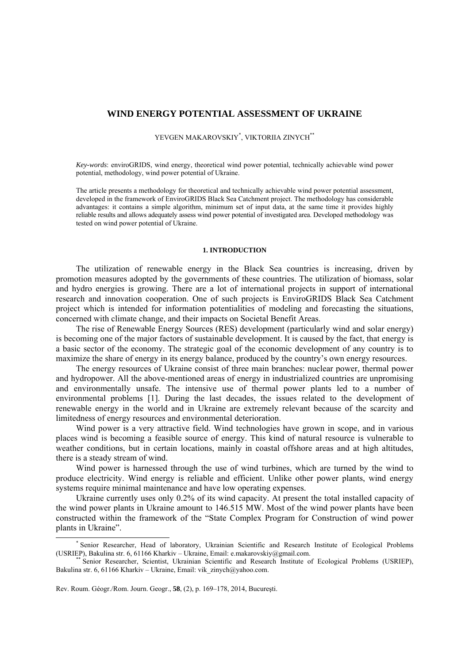# **WIND ENERGY POTENTIAL ASSESSMENT OF UKRAINE**

YEVGEN MAKAROVSKIY\* , VIKTORIIA ZINYCH\*\*

*Key-words*: enviroGRIDS, wind energy, theoretical wind power potential, technically achievable wind power potential, methodology, wind power potential of Ukraine.

The article presents a methodology for theoretical and technically achievable wind power potential assessment, developed in the framework of EnviroGRIDS Black Sea Catchment project. The methodology has considerable advantages: it contains a simple algorithm, minimum set of input data, at the same time it provides highly reliable results and allows adequately assess wind power potential of investigated area. Developed methodology was tested on wind power potential of Ukraine.

## **1. INTRODUCTION**

The utilization of renewable energy in the Black Sea countries is increasing, driven by promotion measures adopted by the governments of these countries. The utilization of biomass, solar and hydro energies is growing. There are a lot of international projects in support of international research and innovation cooperation. One of such projects is EnviroGRIDS Black Sea Catchment project which is intended for information potentialities of modeling and forecasting the situations, concerned with climate change, and their impacts on Societal Benefit Areas.

The rise of Renewable Energy Sources (RES) development (particularly wind and solar energy) is becoming one of the major factors of sustainable development. It is caused by the fact, that energy is a basic sector of the economy. The strategic goal of the economic development of any country is to maximize the share of energy in its energy balance, produced by the country's own energy resources.

The energy resources of Ukraine consist of three main branches: nuclear power, thermal power and hydropower. All the above-mentioned areas of energy in industrialized countries are unpromising and environmentally unsafe. The intensive use of thermal power plants led to a number of environmental problems [1]. During the last decades, the issues related to the development of renewable energy in the world and in Ukraine are extremely relevant because of the scarcity and limitedness of energy resources and environmental deterioration.

Wind power is a very attractive field. Wind technologies have grown in scope, and in various places wind is becoming a feasible source of energy. This kind of natural resource is vulnerable to weather conditions, but in certain locations, mainly in coastal offshore areas and at high altitudes, there is a steady stream of wind.

Wind power is harnessed through the use of wind turbines, which are turned by the wind to produce electricity. Wind energy is reliable and efficient. Unlike other power plants, wind energy systems require minimal maintenance and have low operating expenses.

Ukraine currently uses only 0.2% of its wind capacity. At present the total installed capacity of the wind power plants in Ukraine amount to 146.515 MW. Most of the wind power plants have been constructed within the framework of the "State Complex Program for Construction of wind power plants in Ukraine".

 $\overline{\phantom{a}}$ \* Senior Researcher, Head of laboratory, Ukrainian Scientific and Research Institute of Ecological Problems (USRIEP), Bakulina str. 6, 61166 Kharkiv – Ukraine, Email: e.makarovskiy@gmail.com.

Senior Researcher, Scientist, Ukrainian Scientific and Research Institute of Ecological Problems (USRIEP), Bakulina str. 6, 61166 Kharkiv – Ukraine, Email: vik zinych@yahoo.com.

Rev. Roum. Géogr./Rom. Journ. Geogr., **58**, (2), p. 169–178, 2014, Bucureşti.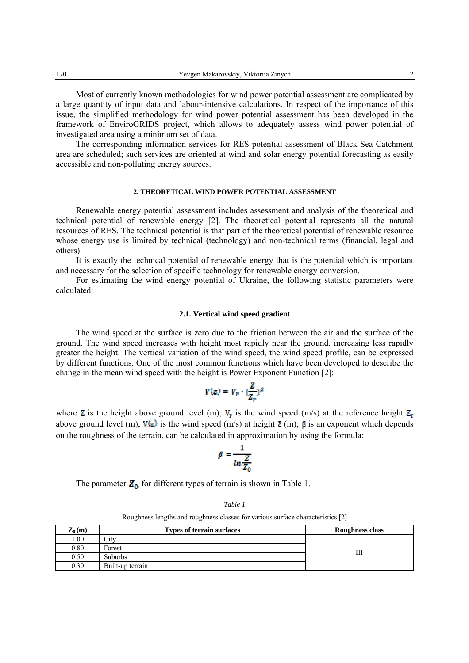Most of currently known methodologies for wind power potential assessment are complicated by a large quantity of input data and labour-intensive calculations. In respect of the importance of this issue, the simplified methodology for wind power potential assessment has been developed in the framework of EnviroGRIDS project, which allows to adequately assess wind power potential of investigated area using a minimum set of data.

The corresponding information services for RES potential assessment of Black Sea Catchment area are scheduled; such services are oriented at wind and solar energy potential forecasting as easily accessible and non-polluting energy sources.

#### **2. THEORETICAL WIND POWER POTENTIAL ASSESSMENT**

Renewable energy potential assessment includes assessment and analysis of the theoretical and technical potential of renewable energy [2]. The theoretical potential represents all the natural resources of RES. The technical potential is that part of the theoretical potential of renewable resource whose energy use is limited by technical (technology) and non-technical terms (financial, legal and others).

It is exactly the technical potential of renewable energy that is the potential which is important and necessary for the selection of specific technology for renewable energy conversion.

For estimating the wind energy potential of Ukraine, the following statistic parameters were calculated:

#### **2.1. Vertical wind speed gradient**

The wind speed at the surface is zero due to the friction between the air and the surface of the ground. The wind speed increases with height most rapidly near the ground, increasing less rapidly greater the height. The vertical variation of the wind speed, the wind speed profile, can be expressed by different functions. One of the most common functions which have been developed to describe the change in the mean wind speed with the height is Power Exponent Function [2]:

$$
V(z) = V_r \cdot (\frac{Z}{Z_r})^{\beta}
$$

where **z** is the height above ground level (m);  $V_r$  is the wind speed (m/s) at the reference height  $Z_r$ above ground level (m);  $\mathbf{V}(\mathbf{z})$  is the wind speed (m/s) at height  $\mathbf{Z}$  (m);  $\mathbf{\beta}$  is an exponent which depends on the roughness of the terrain, can be calculated in approximation by using the formula:

$$
\beta = \frac{1}{\ln \frac{Z}{Z_0}}
$$

The parameter  $\mathbf{Z}_0$  for different types of terrain is shown in Table 1.

*Table 1* 

Roughness lengths and roughness classes for various surface characteristics [2]

| $\mathbf{Z}_0(\mathbf{m})$ | <b>Types of terrain surfaces</b> | Roughness class |
|----------------------------|----------------------------------|-----------------|
| 00.1                       | $\mathcal{L}$ ity                |                 |
| 0.80                       | Forest                           | Ш               |
| 0.50                       | <b>Suburbs</b>                   |                 |
| 0.30                       | Built-up terrain                 |                 |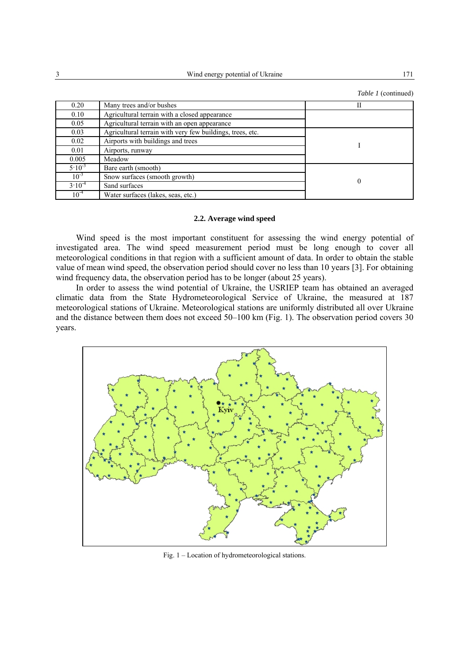3 Wind energy potential of Ukraine 171

*Table 1* (continued)

| 0.20        | Many trees and/or bushes                                  | Н |
|-------------|-----------------------------------------------------------|---|
| 0.10        | Agricultural terrain with a closed appearance             |   |
| 0.05        | Agricultural terrain with an open appearance              |   |
| 0.03        | Agricultural terrain with very few buildings, trees, etc. |   |
| 0.02        | Airports with buildings and trees                         |   |
| 0.01        | Airports, runway                                          |   |
| 0.005       | Meadow                                                    |   |
| $5.10^{-3}$ | Bare earth (smooth)                                       |   |
| $10^{-3}$   | Snow surfaces (smooth growth)                             |   |
| $3.10^{-4}$ | Sand surfaces                                             |   |
| $10^{-4}$   | Water surfaces (lakes, seas, etc.)                        |   |

#### **2.2. Average wind speed**

Wind speed is the most important constituent for assessing the wind energy potential of investigated area. The wind speed measurement period must be long enough to cover all meteorological conditions in that region with a sufficient amount of data. In order to obtain the stable value of mean wind speed, the observation period should cover no less than 10 years [3]. For obtaining wind frequency data, the observation period has to be longer (about 25 years).

In order to assess the wind potential of Ukraine, the USRIEP team has obtained an averaged climatic data from the State Hydrometeorological Service of Ukraine, the measured at 187 meteorological stations of Ukraine. Meteorological stations are uniformly distributed all over Ukraine and the distance between them does not exceed 50–100 km (Fig. 1). The observation period covers 30 years.



Fig. 1 – Location of hydrometeorological stations.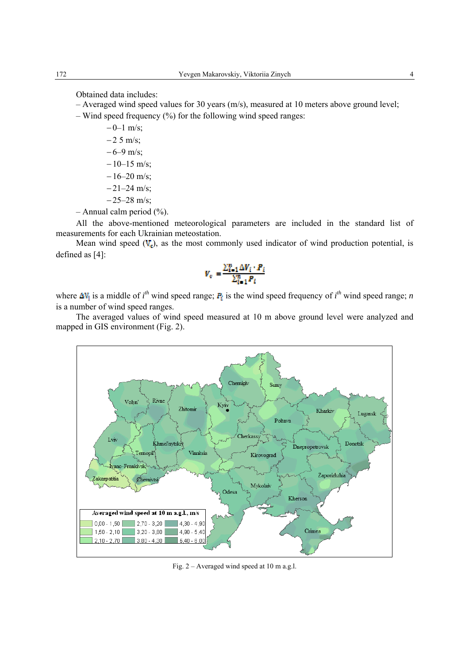Obtained data includes:

- Averaged wind speed values for 30 years (m/s), measured at 10 meters above ground level;
- Wind speed frequency  $(\% )$  for the following wind speed ranges:
	- $-0$ –1 m/s;  $-25$  m/s;  $-6-9$  m/s;  $-10-15$  m/s;  $-16-20$  m/s;  $-21-24$  m/s; − 25–28 m/s;
- $-$  Annual calm period  $(\% )$ .

All the above-mentioned meteorological parameters are included in the standard list of measurements for each Ukrainian meteostation.

Mean wind speed  $(V<sub>c</sub>)$ , as the most commonly used indicator of wind production potential, is defined as [4]:

$$
V_v = \frac{\sum_{i=1}^{n} \Delta V_i \cdot P_i}{\sum_{i=1}^{n} P_i}
$$

where  $\Delta V_i$  is a middle of *i*<sup>th</sup> wind speed range;  $P_i$  is the wind speed frequency of *i*<sup>th</sup> wind speed range; *n* is a number of wind speed ranges.

The averaged values of wind speed measured at 10 m above ground level were analyzed and mapped in GIS environment (Fig. 2).



Fig. 2 – Averaged wind speed at 10 m a.g.l.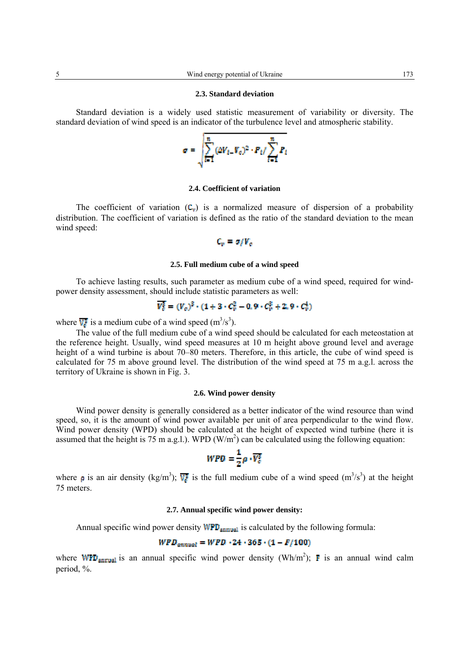#### **2.3. Standard deviation**

Standard deviation is a widely used statistic measurement of variability or diversity. The standard deviation of wind speed is an indicator of the turbulence level and atmospheric stability.



# **2.4. Coefficient of variation**

The coefficient of variation  $(C_v)$  is a normalized measure of dispersion of a probability distribution. The coefficient of variation is defined as the ratio of the standard deviation to the mean wind speed:

$$
C_v = \sigma_f V_c
$$

#### **2.5. Full medium cube of a wind speed**

To achieve lasting results, such parameter as medium cube of a wind speed, required for windpower density assessment, should include statistic parameters as well:

$$
\overline{V_c^3} = (V_c)^3 \cdot (1 + 3 \cdot C_v^2 - 0.9 \cdot C_v^3 + 2.9 \cdot C_v^4)
$$

where  $\overline{V_s}$  is a medium cube of a wind speed (m<sup>3</sup>/s<sup>3</sup>).

The value of the full medium cube of a wind speed should be calculated for each meteostation at the reference height. Usually, wind speed measures at 10 m height above ground level and average height of a wind turbine is about 70–80 meters. Therefore, in this article, the cube of wind speed is calculated for 75 m above ground level. The distribution of the wind speed at 75 m a.g.l. across the territory of Ukraine is shown in Fig. 3.

## **2.6. Wind power density**

Wind power density is generally considered as a better indicator of the wind resource than wind speed, so, it is the amount of wind power available per unit of area perpendicular to the wind flow. Wind power density (WPD) should be calculated at the height of expected wind turbine (here it is assumed that the height is 75 m a.g.l.). WPD ( $W/m<sup>2</sup>$ ) can be calculated using the following equation:

$$
WPD = \frac{1}{2}\rho \cdot \overline{V_c^3}
$$

where **p** is an air density (kg/m<sup>3</sup>);  $\overline{W}$  is the full medium cube of a wind speed (m<sup>3</sup>/s<sup>3</sup>) at the height 75 meters.

## **2.7. Annual specific wind power density:**

Annual specific wind power density  $WPD_{\text{annual}}$  is calculated by the following formula:

# $WPD_{annual} = WPD \cdot 24 \cdot 365 \cdot (1 - F/100)$

where **WFD**<sub>annual</sub> is an annual specific wind power density (Wh/m<sup>2</sup>); **F** is an annual wind calm period, %.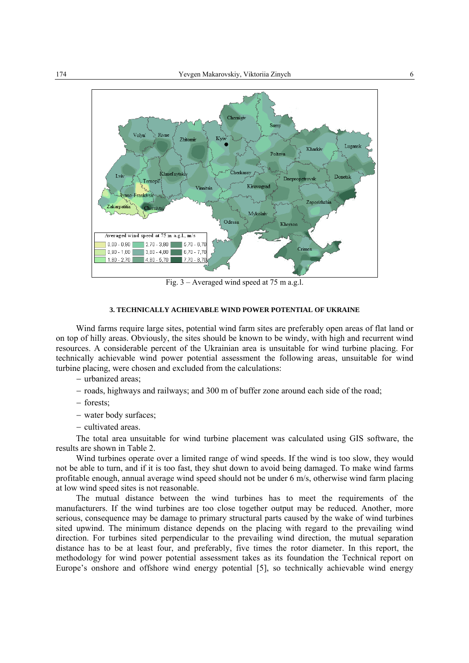

Fig. 3 – Averaged wind speed at 75 m a.g.l.

## **3. TECHNICALLY ACHIEVABLE WIND POWER POTENTIAL OF UKRAINE**

Wind farms require large sites, potential wind farm sites are preferably open areas of flat land or on top of hilly areas. Obviously, the sites should be known to be windy, with high and recurrent wind resources. A considerable percent of the Ukrainian area is unsuitable for wind turbine placing. For technically achievable wind power potential assessment the following areas, unsuitable for wind turbine placing, were chosen and excluded from the calculations:

- − urbanized areas;
- − roads, highways and railways; and 300 m of buffer zone around each side of the road;
- − forests;
- − water body surfaces;
- − cultivated areas.

The total area unsuitable for wind turbine placement was calculated using GIS software, the results are shown in Table 2.

Wind turbines operate over a limited range of wind speeds. If the wind is too slow, they would not be able to turn, and if it is too fast, they shut down to avoid being damaged. To make wind farms profitable enough, annual average wind speed should not be under 6 m/s, otherwise wind farm placing at low wind speed sites is not reasonable.

The mutual distance between the wind turbines has to meet the requirements of the manufacturers. If the wind turbines are too close together output may be reduced. Another, more serious, consequence may be damage to primary structural parts caused by the wake of wind turbines sited upwind. The minimum distance depends on the placing with regard to the prevailing wind direction. For turbines sited perpendicular to the prevailing wind direction, the mutual separation distance has to be at least four, and preferably, five times the rotor diameter. In this report, the methodology for wind power potential assessment takes as its foundation the Technical report on Europe's onshore and offshore wind energy potential [5], so technically achievable wind energy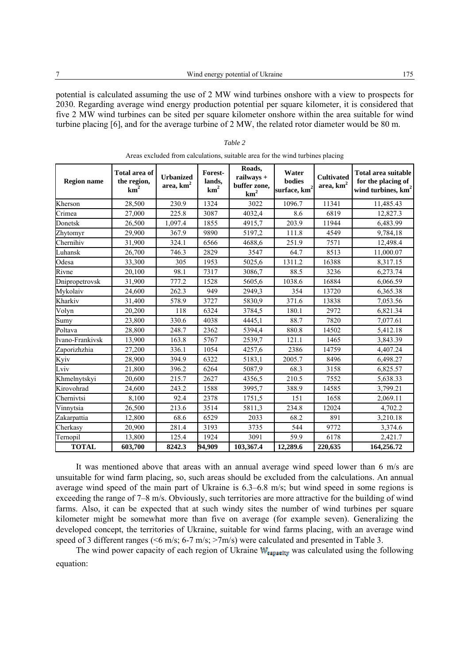potential is calculated assuming the use of 2 MW wind turbines onshore with a view to prospects for 2030. Regarding average wind energy production potential per square kilometer, it is considered that five 2 MW wind turbines can be sited per square kilometer onshore within the area suitable for wind turbine placing [6], and for the average turbine of 2 MW, the related rotor diameter would be 80 m.

| <b>Region name</b> | Total area of<br>the region,<br>km <sup>2</sup> | <b>Urbanized</b><br>area, $km2$ | Forest-<br>lands,<br>km <sup>2</sup> | Roads,<br>railways +<br>buffer zone,<br>km <sup>2</sup> | Water<br>bodies<br>surface, km <sup>2</sup> | <b>Cultivated</b><br>area, $\mathrm{km}^2$ | Total area suitable<br>for the placing of<br>wind turbines, km <sup>2</sup> |
|--------------------|-------------------------------------------------|---------------------------------|--------------------------------------|---------------------------------------------------------|---------------------------------------------|--------------------------------------------|-----------------------------------------------------------------------------|
| Kherson            | 28,500                                          | 230.9                           | 1324                                 | 3022                                                    | 1096.7                                      | 11341                                      | 11,485.43                                                                   |
| Crimea             | 27,000                                          | 225.8                           | 3087                                 | 4032,4                                                  | 8.6                                         | 6819                                       | 12,827.3                                                                    |
| Donetsk            | 26,500                                          | 1,097.4                         | 1855                                 | 4915,7                                                  | 203.9                                       | 11944                                      | 6,483.99                                                                    |
| Zhytomyr           | 29,900                                          | 367.9                           | 9890                                 | 5197,2                                                  | 111.8                                       | 4549                                       | 9,784,18                                                                    |
| Chernihiv          | 31,900                                          | 324.1                           | 6566                                 | 4688,6                                                  | 251.9                                       | 7571                                       | 12,498.4                                                                    |
| Luhansk            | 26,700                                          | 746.3                           | 2829                                 | 3547                                                    | 64.7                                        | 8513                                       | 11,000.07                                                                   |
| Odesa              | 33,300                                          | 305                             | 1953                                 | 5025,6                                                  | 1311.2                                      | 16388                                      | 8,317.15                                                                    |
| Rivne              | 20,100                                          | 98.1                            | 7317                                 | 3086,7                                                  | 88.5                                        | 3236                                       | 6,273.74                                                                    |
| Dnipropetrovsk     | 31,900                                          | 777.2                           | 1528                                 | 5605,6                                                  | 1038.6                                      | 16884                                      | 6,066.59                                                                    |
| Mykolaiv           | 24,600                                          | 262.3                           | 949                                  | 2949.3                                                  | 354                                         | 13720                                      | 6,365.38                                                                    |
| Kharkiv            | 31,400                                          | 578.9                           | 3727                                 | 5830,9                                                  | 371.6                                       | 13838                                      | 7,053.56                                                                    |
| Volyn              | 20,200                                          | 118                             | 6324                                 | 3784,5                                                  | 180.1                                       | 2972                                       | 6,821.34                                                                    |
| Sumy               | 23,800                                          | 330.6                           | 4038                                 | 4445,1                                                  | 88.7                                        | 7820                                       | 7,077.61                                                                    |
| Poltava            | 28,800                                          | 248.7                           | 2362                                 | 5394,4                                                  | 880.8                                       | 14502                                      | 5,412.18                                                                    |
| Ivano-Frankivsk    | 13.900                                          | 163.8                           | 5767                                 | 2539,7                                                  | 121.1                                       | 1465                                       | 3,843.39                                                                    |
| Zaporizhzhia       | 27,200                                          | 336.1                           | 1054                                 | 4257,6                                                  | 2386                                        | 14759                                      | 4,407.24                                                                    |
| Kyiv               | 28,900                                          | 394.9                           | 6322                                 | 5183,1                                                  | 2005.7                                      | 8496                                       | 6,498.27                                                                    |
| Lviv               | 21,800                                          | 396.2                           | 6264                                 | 5087.9                                                  | 68.3                                        | 3158                                       | 6,825.57                                                                    |
| Khmelnytskyi       | 20,600                                          | 215.7                           | 2627                                 | 4356,5                                                  | 210.5                                       | 7552                                       | 5,638.33                                                                    |
| Kirovohrad         | 24,600                                          | 243.2                           | 1588                                 | 3995,7                                                  | 388.9                                       | 14585                                      | 3,799.21                                                                    |
| Chernivtsi         | 8,100                                           | 92.4                            | 2378                                 | 1751,5                                                  | 151                                         | 1658                                       | 2,069.11                                                                    |
| Vinnytsia          | 26,500                                          | 213.6                           | 3514                                 | 5811.3                                                  | 234.8                                       | 12024                                      | 4,702.2                                                                     |
| Zakarpattia        | 12,800                                          | 68.6                            | 6529                                 | 2033                                                    | 68.2                                        | 891                                        | 3,210.18                                                                    |
| Cherkasy           | 20,900                                          | 281.4                           | 3193                                 | 3735                                                    | 544                                         | 9772                                       | 3,374.6                                                                     |
| Ternopil           | 13,800                                          | 125.4                           | 1924                                 | 3091                                                    | 59.9                                        | 6178                                       | 2,421.7                                                                     |
| <b>TOTAL</b>       | 603,700                                         | 8242.3                          | 94.909                               | 103,367.4                                               | 12,289.6                                    | 220,635                                    | 164,256.72                                                                  |

*Table 2*  Areas excluded from calculations, suitable area for the wind turbines placing

It was mentioned above that areas with an annual average wind speed lower than 6 m/s are unsuitable for wind farm placing, so, such areas should be excluded from the calculations. An annual average wind speed of the main part of Ukraine is 6.3–6.8 m/s; but wind speed in some regions is exceeding the range of 7–8 m/s. Obviously, such territories are more attractive for the building of wind farms. Also, it can be expected that at such windy sites the number of wind turbines per square kilometer might be somewhat more than five on average (for example seven). Generalizing the developed concept, the territories of Ukraine, suitable for wind farms placing, with an average wind speed of 3 different ranges (<6 m/s; 6-7 m/s; >7m/s) were calculated and presented in Table 3.

The wind power capacity of each region of Ukraine  $W_{\text{capacity}}$  was calculated using the following equation: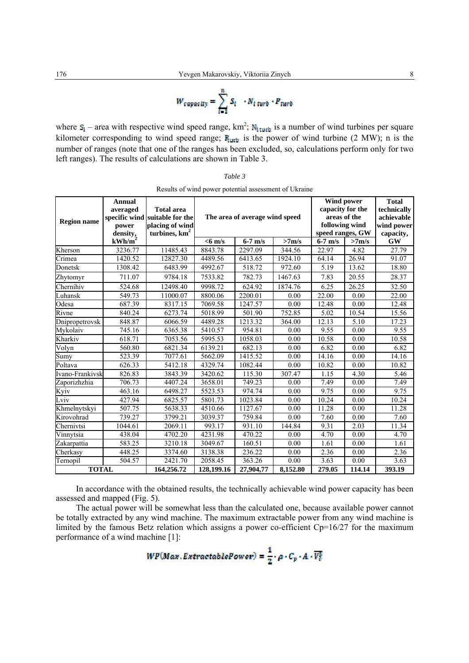$$
W_{capacity} = \sum_{t=1}^{n} S_t \cdot N_{t \text{ turn}} \cdot P_{turb}
$$

where  $S_1$  – area with respective wind speed range, km<sup>2</sup>; N<sub>1turb</sub> is a number of wind turbines per square kilometer corresponding to wind speed range;  $\mathbf{F}_{\text{turb}}$  is the power of wind turbine (2 MW); n is the number of ranges (note that one of the ranges has been excluded, so, calculations perform only for two left ranges). The results of calculations are shown in Table 3.

| Results of wind power potential assessment of Ukraine |                                                               |                                                                                           |                                                                               |           |          |                                                                                                                                          |        |                                                                                   |
|-------------------------------------------------------|---------------------------------------------------------------|-------------------------------------------------------------------------------------------|-------------------------------------------------------------------------------|-----------|----------|------------------------------------------------------------------------------------------------------------------------------------------|--------|-----------------------------------------------------------------------------------|
| <b>Region name</b>                                    | Annual<br>averaged<br>power<br>density,<br>kWh/m <sup>2</sup> | <b>Total area</b><br>specific wind suitable for the<br>placing of wind<br>turbines, $km2$ | The area of average wind speed<br>$6-7$ m/s<br>>7 <sub>m/s</sub><br>$<$ 6 m/s |           |          | <b>Wind power</b><br>capacity for the<br>areas of the<br>following wind<br>speed ranges, GW<br>$\overline{6-7}$ m/s<br>>7 <sub>m/s</sub> |        | <b>Total</b><br>technically<br>achievable<br>wind power<br>capacity,<br><b>GW</b> |
| Kherson                                               | 3236.77                                                       | 11485.43                                                                                  | 8843.78                                                                       | 2297.09   | 344.56   | 22.97                                                                                                                                    | 4.82   | 27.79                                                                             |
| Crimea                                                | 1420.52                                                       | 12827.30                                                                                  | 4489.56                                                                       | 6413.65   | 1924.10  | 64.14                                                                                                                                    | 26.94  | 91.07                                                                             |
| Donetsk                                               | 1308.42                                                       | 6483.99                                                                                   | 4992.67                                                                       | 518.72    | 972.60   | 5.19                                                                                                                                     | 13.62  | 18.80                                                                             |
| Zhytomyr                                              | 711.07                                                        | 9784.18                                                                                   | 7533.82                                                                       | 782.73    | 1467.63  | 7.83                                                                                                                                     | 20.55  | 28.37                                                                             |
| Chernihiv                                             | 524.68                                                        | 12498.40                                                                                  | 9998.72                                                                       | 624.92    | 1874.76  | 6.25                                                                                                                                     | 26.25  | 32.50                                                                             |
| Luhansk                                               | 549.73                                                        | 11000.07                                                                                  | 8800.06                                                                       | 2200.01   | 0.00     | 22.00                                                                                                                                    | 0.00   | 22.00                                                                             |
| Odesa                                                 | 687.39                                                        | 8317.15                                                                                   | 7069.58                                                                       | 1247.57   | 0.00     | 12.48                                                                                                                                    | 0.00   | 12.48                                                                             |
| Rivne                                                 | 840.24                                                        | 6273.74                                                                                   | 5018.99                                                                       | 501.90    | 752.85   | 5.02                                                                                                                                     | 10.54  | 15.56                                                                             |
| Dnipropetrovsk                                        | 848.87                                                        | 6066.59                                                                                   | 4489.28                                                                       | 1213.32   | 364.00   | 12.13                                                                                                                                    | 5.10   | 17.23                                                                             |
| Mykolaiv                                              | 745.16                                                        | 6365.38                                                                                   | 5410.57                                                                       | 954.81    | 0.00     | 9.55                                                                                                                                     | 0.00   | 9.55                                                                              |
| Kharkiv                                               | 618.71                                                        | 7053.56                                                                                   | 5995.53                                                                       | 1058.03   | 0.00     | 10.58                                                                                                                                    | 0.00   | 10.58                                                                             |
| Volyn                                                 | 560.80                                                        | 6821.34                                                                                   | $\overline{6139.21}$                                                          | 682.13    | 0.00     | 6.82                                                                                                                                     | 0.00   | 6.82                                                                              |
| $\overline{\textrm{S}}$ umy                           | 523.39                                                        | 7077.61                                                                                   | 5662.09                                                                       | 1415.52   | 0.00     | 14.16                                                                                                                                    | 0.00   | 14.16                                                                             |
| Poltava                                               | 626.33                                                        | 5412.18                                                                                   | 4329.74                                                                       | 1082.44   | 0.00     | 10.82                                                                                                                                    | 0.00   | 10.82                                                                             |
| Ivano-Frankivsk                                       | 826.83                                                        | 3843.39                                                                                   | 3420.62                                                                       | 115.30    | 307.47   | 1.15                                                                                                                                     | 4.30   | 5.46                                                                              |
| Zaporizhzhia                                          | 706.73                                                        | 4407.24                                                                                   | 3658.01                                                                       | 749.23    | 0.00     | 7.49                                                                                                                                     | 0.00   | 7.49                                                                              |
| Kyiv                                                  | 463.16                                                        | 6498.27                                                                                   | 5523.53                                                                       | 974.74    | 0.00     | 9.75                                                                                                                                     | 0.00   | 9.75                                                                              |
| Lviv                                                  | 427.94                                                        | 6825.57                                                                                   | 5801.73                                                                       | 1023.84   | 0.00     | 10.24                                                                                                                                    | 0.00   | 10.24                                                                             |
| Khmelnytskyi                                          | 507.75                                                        | 5638.33                                                                                   | 4510.66                                                                       | 1127.67   | 0.00     | 11.28                                                                                                                                    | 0.00   | 11.28                                                                             |
| Kirovohrad                                            | 739.27                                                        | 3799.21                                                                                   | 3039.37                                                                       | 759.84    | 0.00     | 7.60                                                                                                                                     | 0.00   | 7.60                                                                              |
| Chernivtsi                                            | 1044.61                                                       | 2069.11                                                                                   | 993.17                                                                        | 931.10    | 144.84   | 9.31                                                                                                                                     | 2.03   | 11.34                                                                             |
| Vinnytsia                                             | 438.04                                                        | 4702.20                                                                                   | 4231.98                                                                       | 470.22    | 0.00     | 4.70                                                                                                                                     | 0.00   | 4.70                                                                              |
| Zakarpattia                                           | 583.25                                                        | 3210.18                                                                                   | 3049.67                                                                       | 160.51    | 0.00     | 1.61                                                                                                                                     | 0.00   | 1.61                                                                              |
| Cherkasy                                              | 448.25                                                        | 3374.60                                                                                   | 3138.38                                                                       | 236.22    | 0.00     | 2.36                                                                                                                                     | 0.00   | 2.36                                                                              |
| Ternopil                                              | 504.57                                                        | 2421.70                                                                                   | 2058.45                                                                       | 363.26    | 0.00     | 3.63                                                                                                                                     | 0.00   | 3.63                                                                              |
| <b>TOTAL</b>                                          |                                                               | 164,256.72                                                                                | 128,199.16                                                                    | 27,904,77 | 8,152.80 | 279.05                                                                                                                                   | 114.14 | 393.19                                                                            |

| Table 3                                                |  |
|--------------------------------------------------------|--|
| Denote a Control a concernation of concernant of Hotel |  |

In accordance with the obtained results, the technically achievable wind power capacity has been assessed and mapped (Fig. 5).

The actual power will be somewhat less than the calculated one, because available power cannot be totally extracted by any wind machine. The maximum extractable power from any wind machine is limited by the famous Betz relation which assigns a power co-efficient Cp=16/27 for the maximum performance of a wind machine [1]:

$$
WP(Max, ExtractablePower)=\frac{1}{2}\cdot\rho\cdot C_p\cdot A\cdot \overline{V_c^3}
$$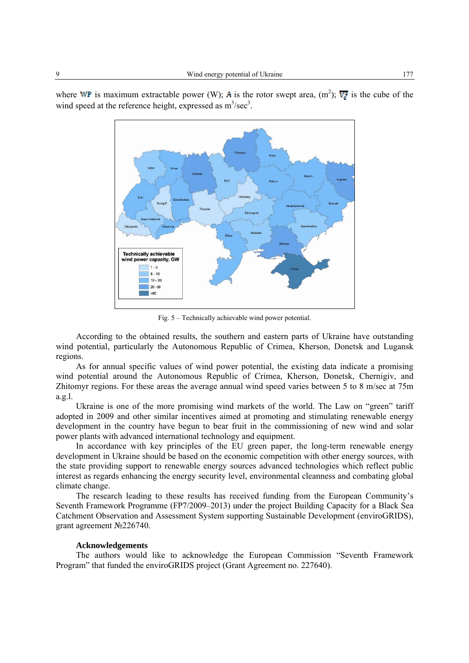where WP is maximum extractable power (W); A is the rotor swept area,  $(m^2)$ ;  $\overline{v_e^2}$  is the cube of the wind speed at the reference height, expressed as  $m^3/sec^3$ .



Fig. 5 – Technically achievable wind power potential.

According to the obtained results, the southern and eastern parts of Ukraine have outstanding wind potential, particularly the Autonomous Republic of Crimea, Kherson, Donetsk and Lugansk regions.

As for annual specific values of wind power potential, the existing data indicate a promising wind potential around the Autonomous Republic of Crimea, Kherson, Donetsk, Chernigiv, and Zhitomyr regions. For these areas the average annual wind speed varies between 5 to 8 m/sec at 75m a.g.l.

Ukraine is one of the more promising wind markets of the world. The Law on "green" tariff adopted in 2009 and other similar incentives aimed at promoting and stimulating renewable energy development in the country have begun to bear fruit in the commissioning of new wind and solar power plants with advanced international technology and equipment.

In accordance with key principles of the EU green paper, the long-term renewable energy development in Ukraine should be based on the economic competition with other energy sources, with the state providing support to renewable energy sources advanced technologies which reflect public interest as regards enhancing the energy security level, environmental cleanness and combating global climate change.

The research leading to these results has received funding from the European Community's Seventh Framework Programme (FP7/2009–2013) under the project Building Capacity for a Black Sea Catchment Observation and Assessment System supporting Sustainable Development (enviroGRIDS), grant agreement №226740.

#### **Acknowledgements**

The authors would like to acknowledge the European Commission "Seventh Framework Program" that funded the enviroGRIDS project (Grant Agreement no. 227640).